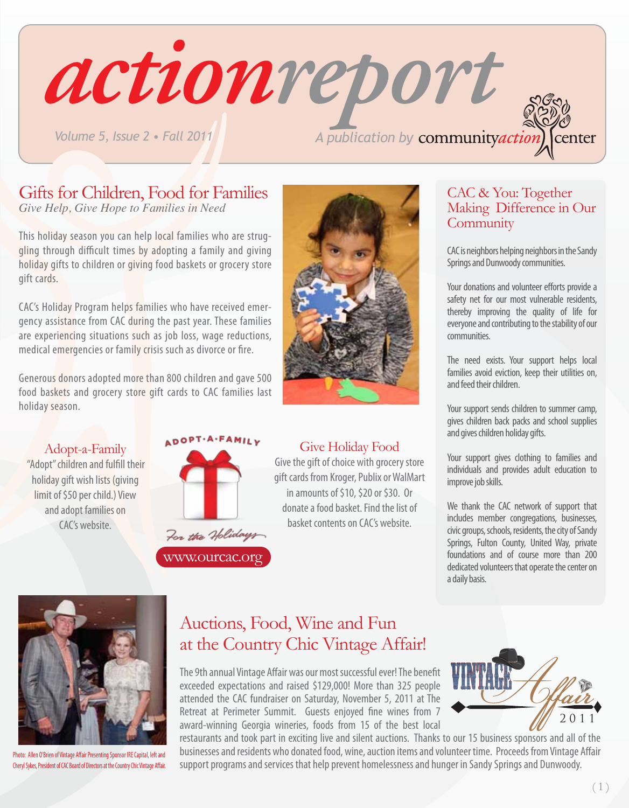actionreport *Volume 5, Issue 2 • Fall 2011 A publication by community action* center

## Gifts for Children, Food for Families

*Give Help, Give Hope to Families in Need*

This holiday season you can help local families who are struggling through difficult times by adopting a family and giving holiday gifts to children or giving food baskets or grocery store gift cards.

CAC's Holiday Program helps families who have received emergency assistance from CAC during the past year. These families are experiencing situations such as job loss, wage reductions, medical emergencies or family crisis such as divorce or fire.

Generous donors adopted more than 800 children and gave 500 food baskets and grocery store gift cards to CAC families last holiday season.

#### Adopt-a-Family

"Adopt" children and fulfill their holiday gift wish lists (giving limit of \$50 per child.) View and adopt families on CAC's website.



www.ourcac.org



Give the gift of choice with grocery store gift cards from Kroger, Publix or WalMart in amounts of \$10, \$20 or \$30. Or donate a food basket. Find the list of basket contents on CAC's website.

#### CAC & You: Together Making Difference in Our **Community**

CAC is neighbors helping neighbors in the Sandy Springs and Dunwoody communities.

Your donations and volunteer efforts provide a safety net for our most vulnerable residents, thereby improving the quality of life for everyone and contributing to the stability of our communities.

The need exists. Your support helps local families avoid eviction, keep their utilities on, and feed their children.

Your support sends children to summer camp, gives children back packs and school supplies and gives children holiday gifts.

Your support gives clothing to families and individuals and provides adult education to improve job skills.

We thank the CAC network of support that includes member congregations, businesses, civic groups, schools, residents, the city of Sandy Springs, Fulton County, United Way, private foundations and of course more than 200 dedicated volunteers that operate the center on a daily basis.



Photo: Allen O'Brien of Vintage Affair Presenting Sponsor IRE Capital, left and Cheryl Sykes, President of CAC Board of Directors at the Country Chic Vintage Affair.

#### Auctions, Food, Wine and Fun at the Country Chic Vintage Affair!

The 9th annual Vintage Affair was our most successful ever! The benefit exceeded expectations and raised \$129,000! More than 325 people attended the CAC fundraiser on Saturday, November 5, 2011 at The Retreat at Perimeter Summit. Guests enjoyed fine wines from 7 award-winning Georgia wineries, foods from 15 of the best local



restaurants and took part in exciting live and silent auctions. Thanks to our 15 business sponsors and all of the businesses and residents who donated food, wine, auction items and volunteer time. Proceeds from Vintage Affair support programs and services that help prevent homelessness and hunger in Sandy Springs and Dunwoody.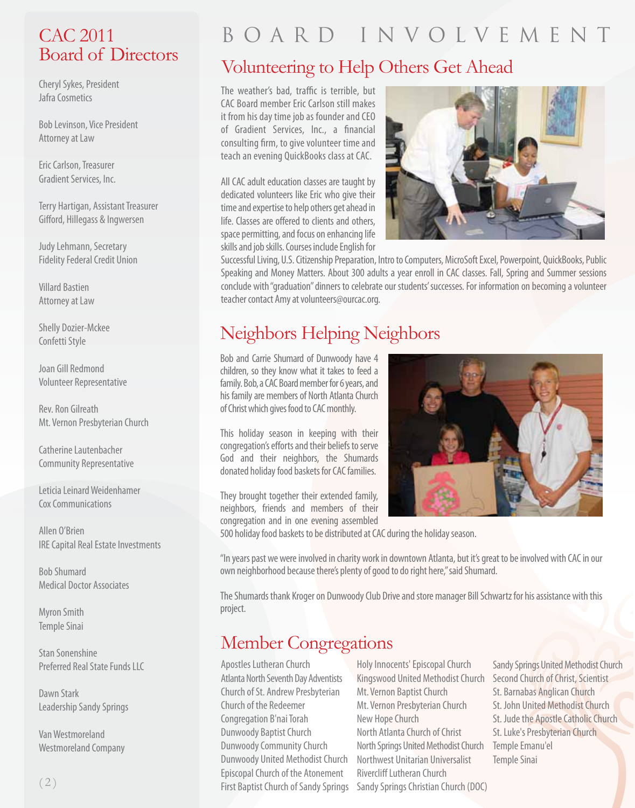#### CAC 2011 Board of Directors

Cheryl Sykes, President Jafra Cosmetics

Bob Levinson, Vice President Attorney at Law

Eric Carlson, Treasurer Gradient Services, Inc.

Terry Hartigan, Assistant Treasurer Gifford, Hillegass & Ingwersen

Judy Lehmann, Secretary Fidelity Federal Credit Union

Villard Bastien Attorney at Law

Shelly Dozier-Mckee Confetti Style

Joan Gill Redmond Volunteer Representative

Rev. Ron Gilreath Mt. Vernon Presbyterian Church

Catherine Lautenbacher Community Representative

Leticia Leinard Weidenhamer Cox Communications

Allen O'Brien IRE Capital Real Estate Investments

Bob Shumard Medical Doctor Associates

Myron Smith Temple Sinai

Stan Sonenshine Preferred Real State Funds LLC

Dawn Stark Leadership Sandy Springs

Van Westmoreland Westmoreland Company

# B o a r d I n v o l v e m e n t

## Volunteering to Help Others Get Ahead

The weather's bad, traffic is terrible, but CAC Board member Eric Carlson still makes it from his day time job as founder and CEO of Gradient Services, Inc., a financial consulting firm, to give volunteer time and teach an evening QuickBooks class at CAC.

All CAC adult education classes are taught by dedicated volunteers like Eric who give their time and expertise to help others get ahead in life. Classes are offered to clients and others, space permitting, and focus on enhancing life skills and job skills. Courses include English for



Successful Living, U.S. Citizenship Preparation, Intro to Computers, MicroSoft Excel, Powerpoint, QuickBooks, Public Speaking and Money Matters. About 300 adults a year enroll in CAC classes. Fall, Spring and Summer sessions conclude with "graduation" dinners to celebrate our students' successes. For information on becoming a volunteer teacher contact Amy at volunteers@ourcac.org.

## Neighbors Helping Neighbors

Bob and Carrie Shumard of Dunwoody have 4 children, so they know what it takes to feed a family. Bob, a CAC Board member for 6 years, and his family are members of North Atlanta Church of Christ which gives food to CAC monthly.

This holiday season in keeping with their congregation's efforts and their beliefs to serve God and their neighbors, the Shumards donated holiday food baskets for CAC families.

They brought together their extended family, neighbors, friends and members of their congregation and in one evening assembled



500 holiday food baskets to be distributed at CAC during the holiday season.

"In years past we were involved in charity work in downtown Atlanta, but it's great to be involved with CAC in our own neighborhood because there's plenty of good to do right here," said Shumard.

The Shumards thank Kroger on Dunwoody Club Drive and store manager Bill Schwartz for his assistance with this project.

### Member Congregations

Apostles Lutheran Church Atlanta North Seventh Day Adventists Church of St. Andrew Presbyterian Church of the Redeemer Congregation B'nai Torah Dunwoody Baptist Church Dunwoody Community Church Dunwoody United Methodist Church Episcopal Church of the Atonement First Baptist Church of Sandy Springs

Holy Innocents' Episcopal Church Kingswood United Methodist Church Mt. Vernon Baptist Church Mt. Vernon Presbyterian Church New Hope Church North Atlanta Church of Christ North Springs United Methodist Church Northwest Unitarian Universalist Rivercliff Lutheran Church Sandy Springs Christian Church (DOC)

Sandy Springs United Methodist Church Second Church of Christ, Scientist St. Barnabas Anglican Church St. John United Methodist Church St. Jude the Apostle Catholic Church St. Luke's Presbyterian Church Temple Emanu'el Temple Sinai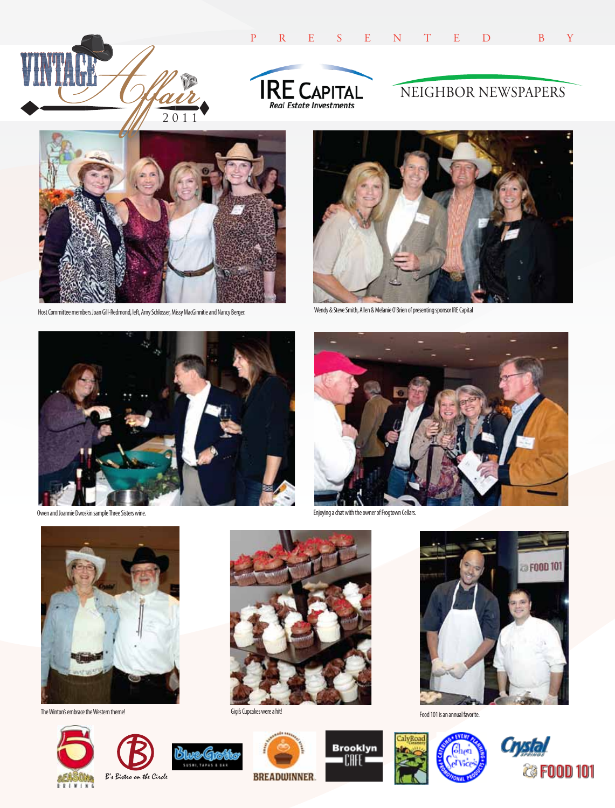



#### NEIGHBOR NEWSPAPERS



Host Committee members Joan Gill-Redmond, left, Amy Schlosser, Missy MacGinnitie and Nancy Berger. Wendy & Steve Smith, Allen & Melanie O'Brien of presenting sponsor IRE Capital





Owen and Joannie Dwoskin sample Three Sisters wine.



Enjoying a chat with the owner of Frogtown Cellars.



The Winton's embrace the Western theme!



Gigi's Cupcakes were a hit!















**SUSHI, TAP** 

51we æ



Food 101 is an annual favorite.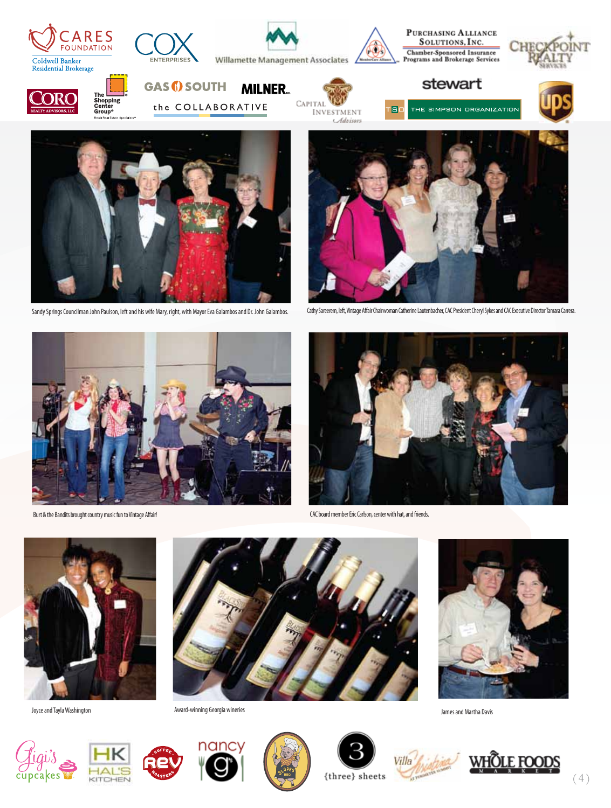



Sandy Springs Councilman John Paulson, left and his wife Mary, right, with Mayor Eva Galambos and Dr. John Galambos. Cathy Sareerem, left, Vintage Affair Chairwoman Catherine Lautenbacher, CAC President Cheryl Sykes and CA





Burt & the Bandits brought country music fun to Vintage Affair!



CAC board member Eric Carlson, center with hat, and friends.



Joyce and Tayla Washington



Award-winning Georgia wineries **James and Martha Davis** 















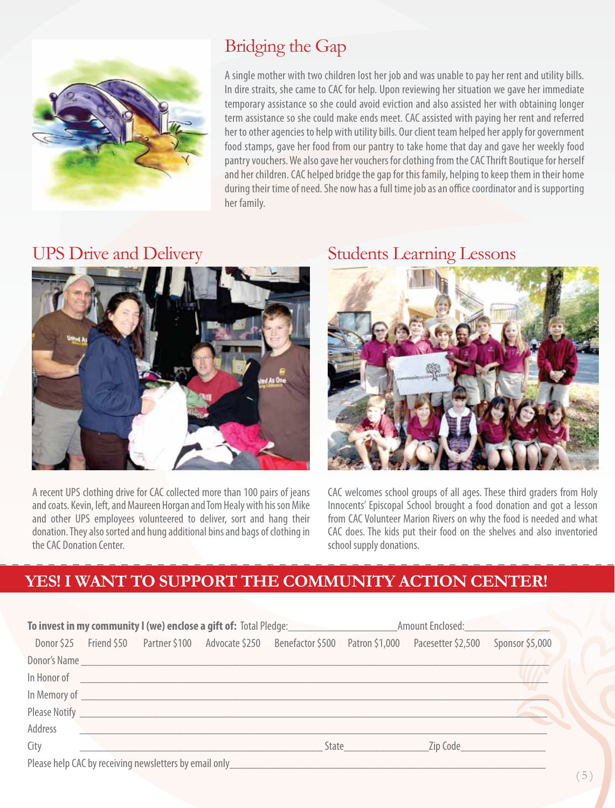

## Bridging the Gap

A single mother with two children lost her job and was unable to pay her rent and utility bills. In dire straits, she came to CAC for help. Upon reviewing her situation we gave her immediate temporary assistance so she could avoid eviction and also assisted her with obtaining longer term assistance so she could make ends meet. CAC assisted with paying her rent and referred her to other agencies to help with utility bills. Our client team helped her apply for government food stamps, gave her food from our pantry to take home that day and gave her weekly food pantry vouchers. We also gave her vouchers for clothing from the CAC Thrift Boutique for herself and her children. CAC helped bridge the gap for this family, helping to keep them in their home during their time of need. She now has a full time job as an office coordinator and is supporting her family.

### UPS Drive and Delivery



A recent UPS clothing drive for CAC collected more than 100 pairs of jeans and coats. Kevin, left, and Maureen Horgan and Tom Healy with his son Mike and other UPS employees volunteered to deliver, sort and hang their donation. They also sorted and hung additional bins and bags of clothing in the CAC Donation Center.

#### Students Learning Lessons



CAC welcomes school groups of all ages. These third graders from Holy Innocents' Episcopal School brought a food donation and got a lesson from CAC Volunteer Marion Rivers on why the food is needed and what CAC does. The kids put their food on the shelves and also inventoried school supply donations.

#### **YES! I WANT TO SUPPORT THE COMMUNITY ACTION CENTER!**

| <b>To invest in my community I (we) enclose a gift of:</b> Total Pledge: |  |                                  |  |                                                                                     | Amount Enclosed: |                                |                 |
|--------------------------------------------------------------------------|--|----------------------------------|--|-------------------------------------------------------------------------------------|------------------|--------------------------------|-----------------|
|                                                                          |  |                                  |  | Donor \$25 Friend \$50 Partner \$100 Advocate \$250 Benefactor \$500 Patron \$1,000 |                  | Pacesetter \$2,500             | Sponsor \$5,000 |
|                                                                          |  |                                  |  |                                                                                     |                  |                                |                 |
|                                                                          |  | In Honor of <u>Communication</u> |  |                                                                                     |                  |                                |                 |
|                                                                          |  |                                  |  |                                                                                     |                  |                                |                 |
|                                                                          |  |                                  |  |                                                                                     |                  |                                | <b>S</b>        |
| Address                                                                  |  |                                  |  |                                                                                     |                  |                                |                 |
| City                                                                     |  |                                  |  |                                                                                     | State            | Zip Code <b>Service School</b> |                 |
|                                                                          |  |                                  |  | Please help CAC by receiving newsletters by email only                              |                  |                                |                 |